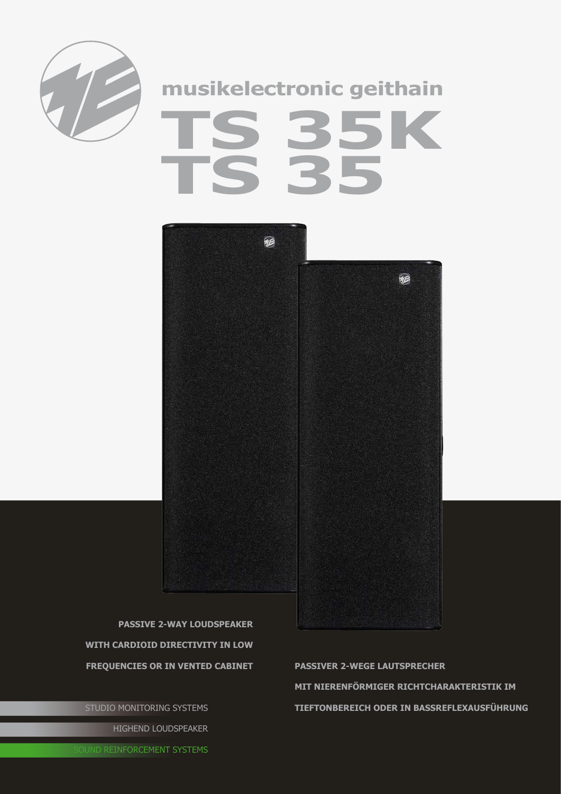

## musikelectronic geithain 35K



**PASSIVE 2-WAY LOUDSPEAKER** WITH CARDIOID DIRECTIVITY IN LOW **FREQUENCIES OR IN VENTED CABINET** 

STUDIO MONITORING SYSTEMS HIGHEND LOUDSPEAKER

**PASSIVER 2-WEGE LAUTSPRECHER** MIT NIERENFÖRMIGER RICHTCHARAKTERISTIK IM TIEFTONBEREICH ODER IN BASSREFLEXAUSFÜHRUNG

**OUND REINFORCEMENT SYSTEMS**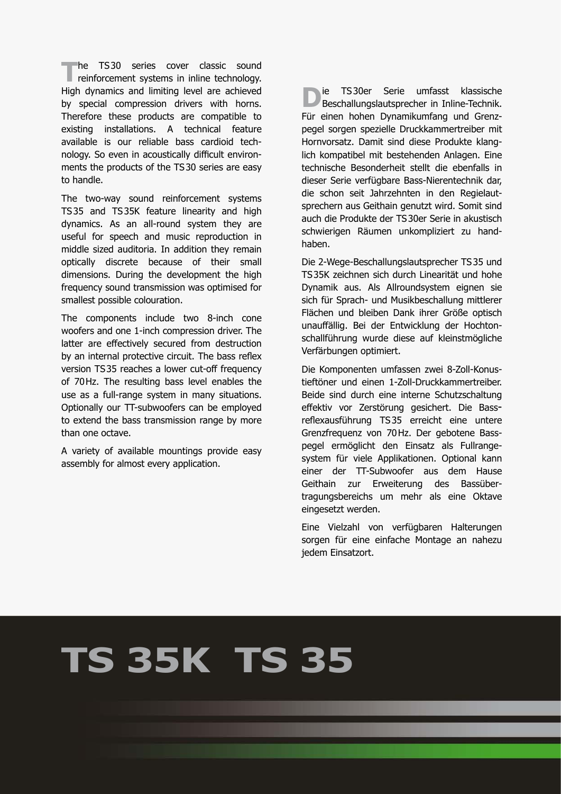**The TS30 series cover classic sound reinforcement systems in inline technology.** High dynamics and limiting level are achieved by special compression drivers with horns. Therefore these products are compatible to existing installations. A technical feature available is our reliable bass cardioid technology. So even in acoustically difficult environments the products of the TS30 series are easy to handle.

The two-way sound reinforcement systems TS35 and TS35K feature linearity and high dynamics. As an all-round system they are useful for speech and music reproduction in middle sized auditoria. In addition they remain optically discrete because of their small dimensions. During the development the high frequency sound transmission was optimised for smallest possible colouration.

The components include two 8-inch cone woofers and one 1-inch compression driver. The latter are effectively secured from destruction by an internal protective circuit. The bass reflex version TS35 reaches a lower cut-off frequency of 70Hz. The resulting bass level enables the use as a full-range system in many situations. Optionally our TT-subwoofers can be employed to extend the bass transmission range by more than one octave.

A variety of available mountings provide easy assembly for almost every application.

**D**ie TS30er Serie umfasst klassische<br>Beschallungslautsprecher in Inline-Technik. Für einen hohen Dynamikumfang und Grenzpegel sorgen spezielle Druckkammertreiber mit Hornvorsatz. Damit sind diese Produkte klanglich kompatibel mit bestehenden Anlagen. Eine technische Besonderheit stellt die ebenfalls in dieser Serie verfügbare Bass-Nierentechnik dar, die schon seit Jahrzehnten in den Regielautsprechern aus Geithain genutzt wird. Somit sind auch die Produkte der TS30er Serie in akustisch schwierigen Räumen unkompliziert zu handhaben.

Die 2-Wege-Beschallungslautsprecher TS35 und TS35K zeichnen sich durch Linearität und hohe Dynamik aus. Als Allroundsystem eignen sie sich für Sprach- und Musikbeschallung mittlerer Flächen und bleiben Dank ihrer Größe optisch unauffällig. Bei der Entwicklung der Hochtonschallführung wurde diese auf kleinstmögliche Verfärbungen optimiert.

Die Komponenten umfassen zwei 8-Zoll-Konustieftöner und einen 1-Zoll-Druckkammertreiber. Beide sind durch eine interne Schutzschaltung effektiv vor Zerstörung gesichert. Die Bassreflexausführung TS35 erreicht eine untere Grenzfrequenz von 70Hz. Der gebotene Basspegel ermöglicht den Einsatz als Fullrangesystem für viele Applikationen. Optional kann einer der TT-Subwoofer aus dem Hause Geithain zur Erweiterung des Bassübertragungsbereichs um mehr als eine Oktave eingesetzt werden.

Eine Vielzahl von verfügbaren Halterungen sorgen für eine einfache Montage an nahezu jedem Einsatzort.

## **TS 35K TS 35**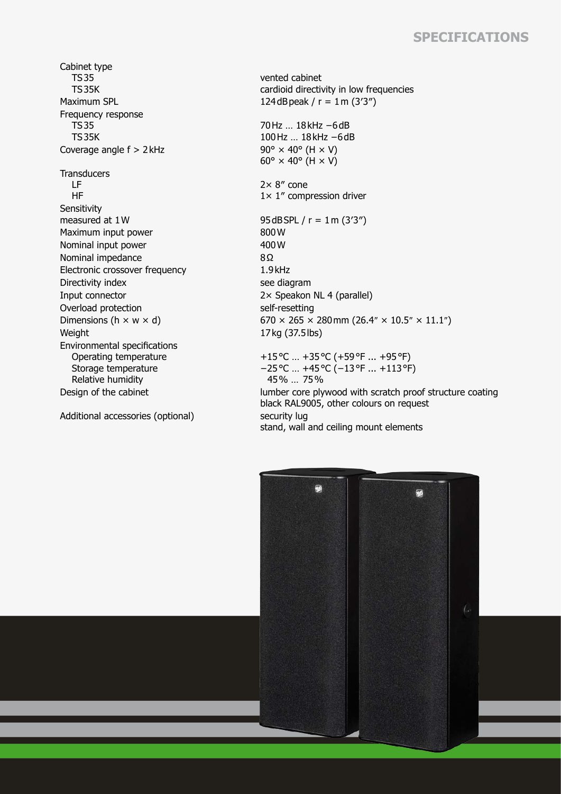## **Specifications**

Cabinet type TS35 TS35K Maximum SPL  $124dB$ peak / r = 1m (3'3") Frequency response TS35 TS35K Coverage angle  $f > 2$  kHz 90°  $\times$  40° (H  $\times$  V) **Transducers**  LF HF **Sensitivity** measured at  $1W$  95dBSPL / r =  $1m$  (3'3") Maximum input power 800 W<br>Nominal input power 800 W Nominal input power Nominal impedance 8Ω Electronic crossover frequency 1.9kHz Directivity index see diagram Input connector 2× Speakon NL 4 (parallel) Overload protection self-resetting Weight 17kg (37.5lbs) Environmental specifications Operating temperature Storage temperature Relative humidity

Additional accessories (optional) security lug

vented cabinet cardioid directivity in low frequencies

70Hz … 18kHz −6dB 100Hz … 18kHz −6dB  $60^\circ \times 40^\circ$  (H  $\times$  V)

2× 8″ cone 1× 1″ compression driver

Dimensions (h  $\times$  w  $\times$  d) 670  $\times$  265  $\times$  280 mm (26.4"  $\times$  10.5"  $\times$  11.1") +15°C … +35°C (+59°F ... +95°F) −25°C … +45°C (−13°F ... +113°F) 45% … 75%

Design of the cabinet lumber core plywood with scratch proof structure coating black RAL9005, other colours on request stand, wall and ceiling mount elements